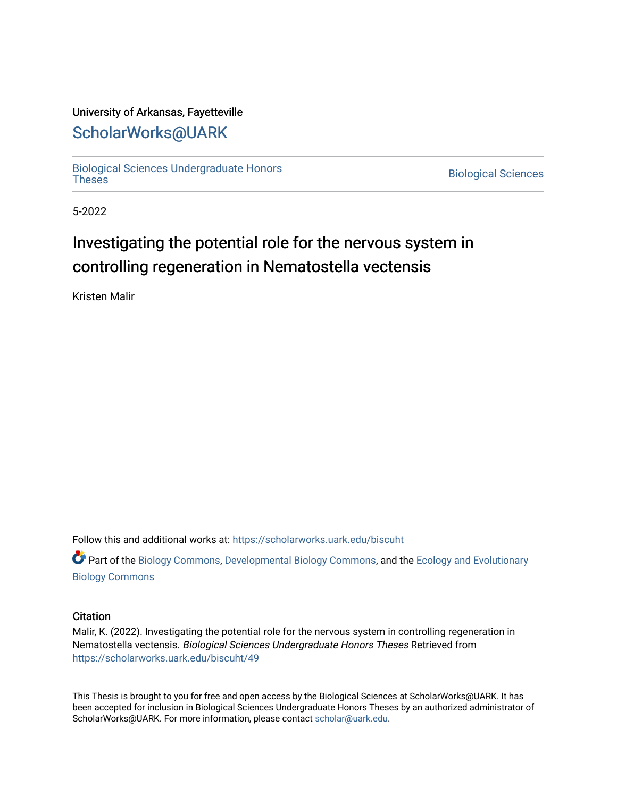## University of Arkansas, Fayetteville

## [ScholarWorks@UARK](https://scholarworks.uark.edu/)

[Biological Sciences Undergraduate Honors](https://scholarworks.uark.edu/biscuht)

**Biological Sciences** 

5-2022

# Investigating the potential role for the nervous system in controlling regeneration in Nematostella vectensis

Kristen Malir

Follow this and additional works at: [https://scholarworks.uark.edu/biscuht](https://scholarworks.uark.edu/biscuht?utm_source=scholarworks.uark.edu%2Fbiscuht%2F49&utm_medium=PDF&utm_campaign=PDFCoverPages) 

Part of the [Biology Commons,](http://network.bepress.com/hgg/discipline/41?utm_source=scholarworks.uark.edu%2Fbiscuht%2F49&utm_medium=PDF&utm_campaign=PDFCoverPages) [Developmental Biology Commons](http://network.bepress.com/hgg/discipline/11?utm_source=scholarworks.uark.edu%2Fbiscuht%2F49&utm_medium=PDF&utm_campaign=PDFCoverPages), and the [Ecology and Evolutionary](http://network.bepress.com/hgg/discipline/14?utm_source=scholarworks.uark.edu%2Fbiscuht%2F49&utm_medium=PDF&utm_campaign=PDFCoverPages) [Biology Commons](http://network.bepress.com/hgg/discipline/14?utm_source=scholarworks.uark.edu%2Fbiscuht%2F49&utm_medium=PDF&utm_campaign=PDFCoverPages)

#### **Citation**

Malir, K. (2022). Investigating the potential role for the nervous system in controlling regeneration in Nematostella vectensis. Biological Sciences Undergraduate Honors Theses Retrieved from [https://scholarworks.uark.edu/biscuht/49](https://scholarworks.uark.edu/biscuht/49?utm_source=scholarworks.uark.edu%2Fbiscuht%2F49&utm_medium=PDF&utm_campaign=PDFCoverPages)

This Thesis is brought to you for free and open access by the Biological Sciences at ScholarWorks@UARK. It has been accepted for inclusion in Biological Sciences Undergraduate Honors Theses by an authorized administrator of ScholarWorks@UARK. For more information, please contact [scholar@uark.edu](mailto:scholar@uark.edu).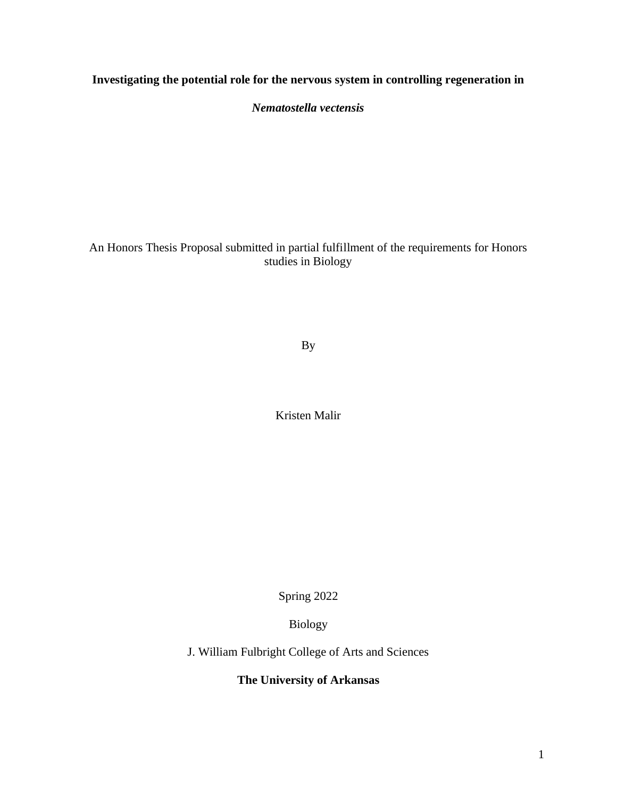**Investigating the potential role for the nervous system in controlling regeneration in**

*Nematostella vectensis*

An Honors Thesis Proposal submitted in partial fulfillment of the requirements for Honors studies in Biology

By

Kristen Malir

Spring 2022

Biology

J. William Fulbright College of Arts and Sciences

### **The University of Arkansas**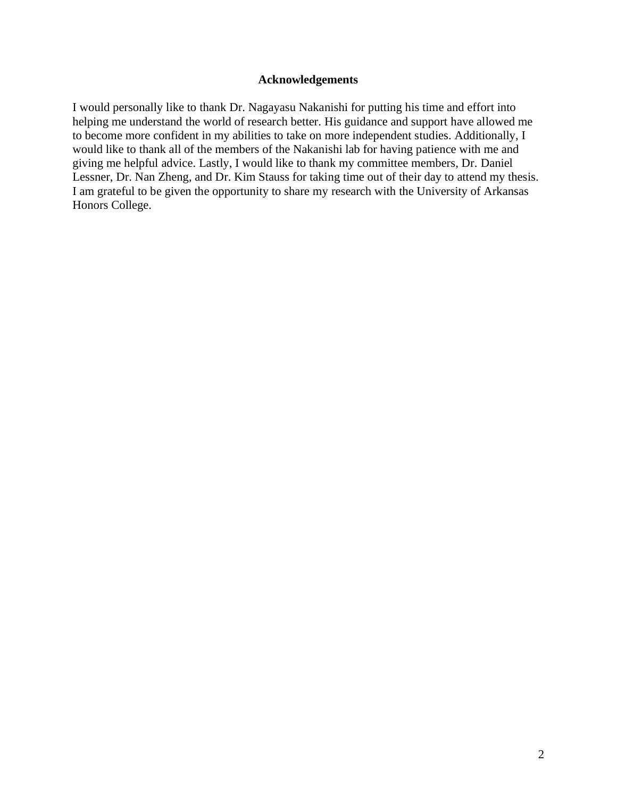#### **Acknowledgements**

I would personally like to thank Dr. Nagayasu Nakanishi for putting his time and effort into helping me understand the world of research better. His guidance and support have allowed me to become more confident in my abilities to take on more independent studies. Additionally, I would like to thank all of the members of the Nakanishi lab for having patience with me and giving me helpful advice. Lastly, I would like to thank my committee members, Dr. Daniel Lessner, Dr. Nan Zheng, and Dr. Kim Stauss for taking time out of their day to attend my thesis. I am grateful to be given the opportunity to share my research with the University of Arkansas Honors College.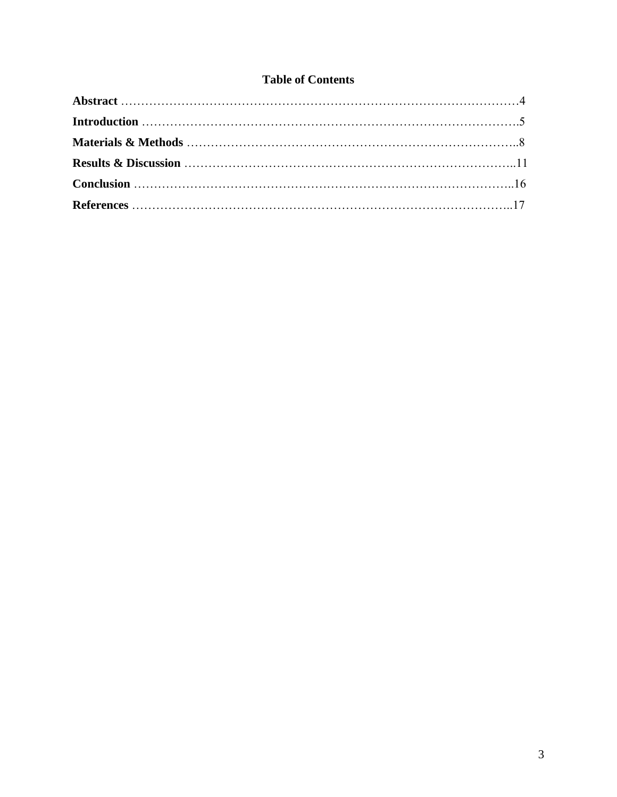## **Table of Contents**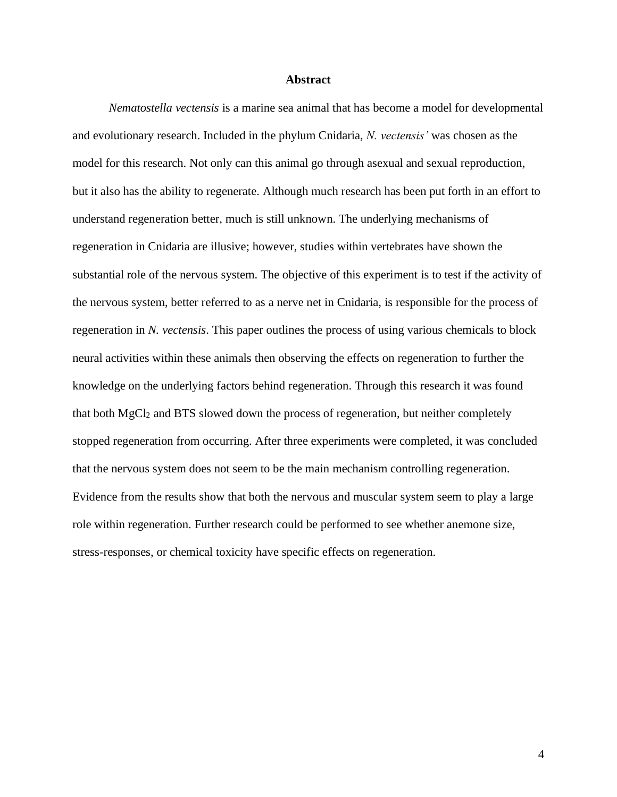#### **Abstract**

*Nematostella vectensis* is a marine sea animal that has become a model for developmental and evolutionary research. Included in the phylum Cnidaria, *N. vectensis'* was chosen as the model for this research. Not only can this animal go through asexual and sexual reproduction, but it also has the ability to regenerate. Although much research has been put forth in an effort to understand regeneration better, much is still unknown. The underlying mechanisms of regeneration in Cnidaria are illusive; however, studies within vertebrates have shown the substantial role of the nervous system. The objective of this experiment is to test if the activity of the nervous system, better referred to as a nerve net in Cnidaria, is responsible for the process of regeneration in *N. vectensis*. This paper outlines the process of using various chemicals to block neural activities within these animals then observing the effects on regeneration to further the knowledge on the underlying factors behind regeneration. Through this research it was found that both MgCl<sup>2</sup> and BTS slowed down the process of regeneration, but neither completely stopped regeneration from occurring. After three experiments were completed, it was concluded that the nervous system does not seem to be the main mechanism controlling regeneration. Evidence from the results show that both the nervous and muscular system seem to play a large role within regeneration. Further research could be performed to see whether anemone size, stress-responses, or chemical toxicity have specific effects on regeneration.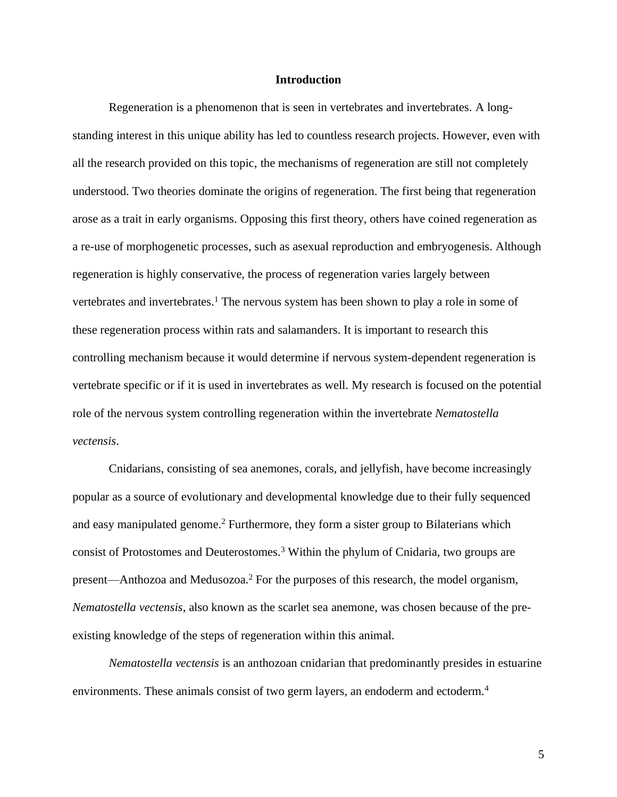#### **Introduction**

Regeneration is a phenomenon that is seen in vertebrates and invertebrates. A longstanding interest in this unique ability has led to countless research projects. However, even with all the research provided on this topic, the mechanisms of regeneration are still not completely understood. Two theories dominate the origins of regeneration. The first being that regeneration arose as a trait in early organisms. Opposing this first theory, others have coined regeneration as a re-use of morphogenetic processes, such as asexual reproduction and embryogenesis. Although regeneration is highly conservative, the process of regeneration varies largely between vertebrates and invertebrates.<sup>1</sup> The nervous system has been shown to play a role in some of these regeneration process within rats and salamanders. It is important to research this controlling mechanism because it would determine if nervous system-dependent regeneration is vertebrate specific or if it is used in invertebrates as well. My research is focused on the potential role of the nervous system controlling regeneration within the invertebrate *Nematostella vectensis*.

Cnidarians, consisting of sea anemones, corals, and jellyfish, have become increasingly popular as a source of evolutionary and developmental knowledge due to their fully sequenced and easy manipulated genome. <sup>2</sup> Furthermore, they form a sister group to Bilaterians which consist of Protostomes and Deuterostomes.<sup>3</sup> Within the phylum of Cnidaria, two groups are present—Anthozoa and Medusozoa.<sup>2</sup> For the purposes of this research, the model organism, *Nematostella vectensis*, also known as the scarlet sea anemone, was chosen because of the preexisting knowledge of the steps of regeneration within this animal.

*Nematostella vectensis* is an anthozoan cnidarian that predominantly presides in estuarine environments. These animals consist of two germ layers, an endoderm and ectoderm.<sup>4</sup>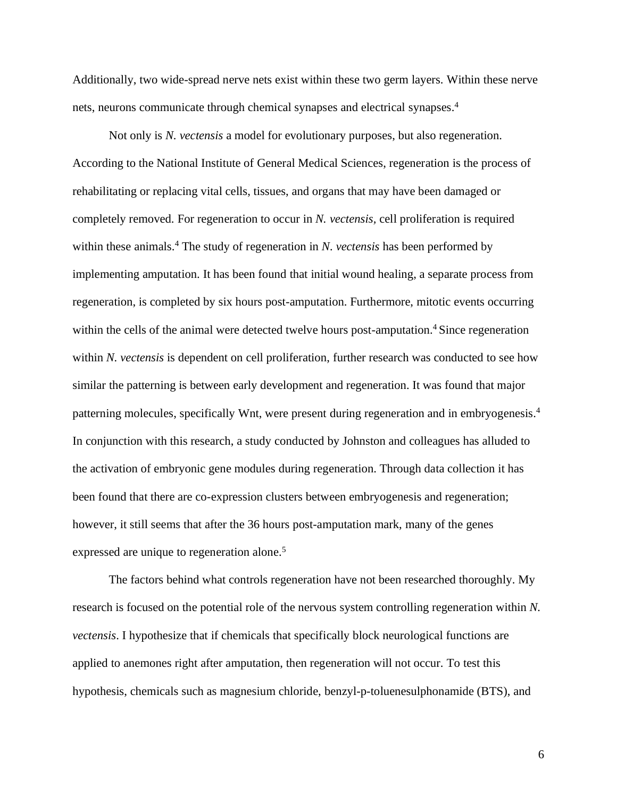Additionally, two wide-spread nerve nets exist within these two germ layers. Within these nerve nets, neurons communicate through chemical synapses and electrical synapses. 4

Not only is *N. vectensis* a model for evolutionary purposes, but also regeneration. According to the National Institute of General Medical Sciences, regeneration is the process of rehabilitating or replacing vital cells, tissues, and organs that may have been damaged or completely removed. For regeneration to occur in *N. vectensis,* cell proliferation is required within these animals.<sup>4</sup> The study of regeneration in *N. vectensis* has been performed by implementing amputation. It has been found that initial wound healing, a separate process from regeneration, is completed by six hours post-amputation. Furthermore, mitotic events occurring within the cells of the animal were detected twelve hours post-amputation.<sup>4</sup> Since regeneration within *N. vectensis* is dependent on cell proliferation, further research was conducted to see how similar the patterning is between early development and regeneration. It was found that major patterning molecules, specifically Wnt, were present during regeneration and in embryogenesis. 4 In conjunction with this research, a study conducted by Johnston and colleagues has alluded to the activation of embryonic gene modules during regeneration. Through data collection it has been found that there are co-expression clusters between embryogenesis and regeneration; however, it still seems that after the 36 hours post-amputation mark, many of the genes expressed are unique to regeneration alone.<sup>5</sup>

The factors behind what controls regeneration have not been researched thoroughly. My research is focused on the potential role of the nervous system controlling regeneration within *N. vectensis*. I hypothesize that if chemicals that specifically block neurological functions are applied to anemones right after amputation, then regeneration will not occur. To test this hypothesis, chemicals such as magnesium chloride, benzyl-p-toluenesulphonamide (BTS), and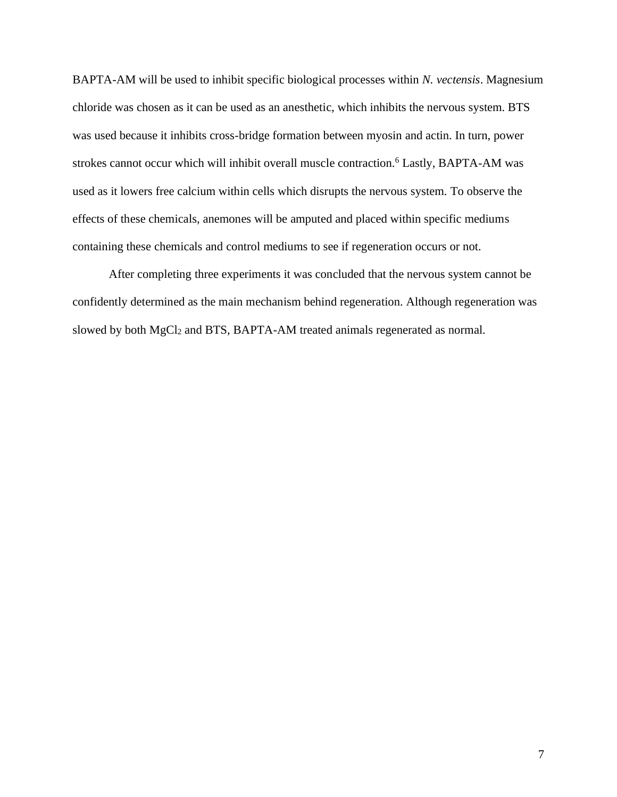BAPTA-AM will be used to inhibit specific biological processes within *N. vectensis*. Magnesium chloride was chosen as it can be used as an anesthetic, which inhibits the nervous system. BTS was used because it inhibits cross-bridge formation between myosin and actin. In turn, power strokes cannot occur which will inhibit overall muscle contraction.<sup>6</sup> Lastly, BAPTA-AM was used as it lowers free calcium within cells which disrupts the nervous system. To observe the effects of these chemicals, anemones will be amputed and placed within specific mediums containing these chemicals and control mediums to see if regeneration occurs or not.

After completing three experiments it was concluded that the nervous system cannot be confidently determined as the main mechanism behind regeneration. Although regeneration was slowed by both MgCl<sub>2</sub> and BTS, BAPTA-AM treated animals regenerated as normal.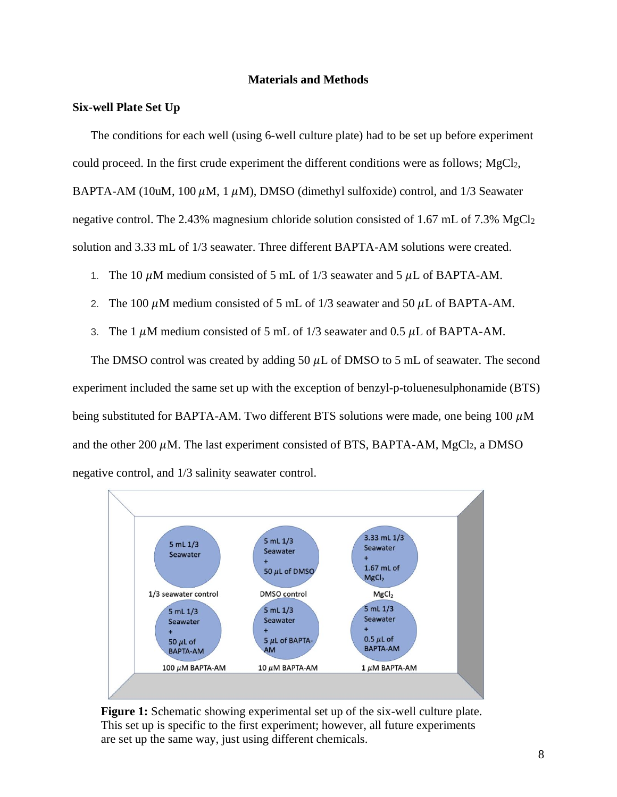#### **Materials and Methods**

#### **Six-well Plate Set Up**

The conditions for each well (using 6-well culture plate) had to be set up before experiment could proceed. In the first crude experiment the different conditions were as follows; MgCl2, BAPTA-AM (10uM, 100  $\mu$ M, 1  $\mu$ M), DMSO (dimethyl sulfoxide) control, and 1/3 Seawater negative control. The 2.43% magnesium chloride solution consisted of 1.67 mL of 7.3% MgCl<sup>2</sup> solution and 3.33 mL of 1/3 seawater. Three different BAPTA-AM solutions were created.

- 1. The 10  $\mu$ M medium consisted of 5 mL of 1/3 seawater and 5  $\mu$ L of BAPTA-AM.
- 2. The 100  $\mu$ M medium consisted of 5 mL of 1/3 seawater and 50  $\mu$ L of BAPTA-AM.
- 3. The 1  $\mu$ M medium consisted of 5 mL of 1/3 seawater and 0.5  $\mu$ L of BAPTA-AM.

The DMSO control was created by adding 50  $\mu$ L of DMSO to 5 mL of seawater. The second experiment included the same set up with the exception of benzyl-p-toluenesulphonamide (BTS) being substituted for BAPTA-AM. Two different BTS solutions were made, one being 100  $\mu$ M and the other 200  $\mu$ M. The last experiment consisted of BTS, BAPTA-AM, MgCl<sub>2</sub>, a DMSO negative control, and 1/3 salinity seawater control.



**Figure 1:** Schematic showing experimental set up of the six-well culture plate. This set up is specific to the first experiment; however, all future experiments are set up the same way, just using different chemicals.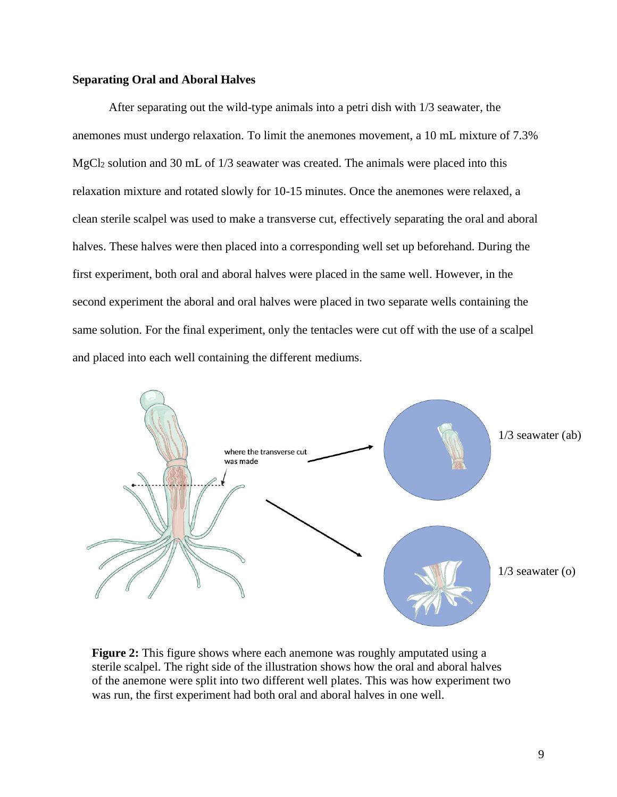#### **Separating Oral and Aboral Halves**

After separating out the wild-type animals into a petri dish with 1/3 seawater, the anemones must undergo relaxation. To limit the anemones movement, a 10 mL mixture of 7.3% MgCl<sup>2</sup> solution and 30 mL of 1/3 seawater was created. The animals were placed into this relaxation mixture and rotated slowly for 10-15 minutes. Once the anemones were relaxed, a clean sterile scalpel was used to make a transverse cut, effectively separating the oral and aboral halves. These halves were then placed into a corresponding well set up beforehand. During the first experiment, both oral and aboral halves were placed in the same well. However, in the second experiment the aboral and oral halves were placed in two separate wells containing the same solution. For the final experiment, only the tentacles were cut off with the use of a scalpel and placed into each well containing the different mediums.



**Figure 2:** This figure shows where each anemone was roughly amputated using a sterile scalpel. The right side of the illustration shows how the oral and aboral halves of the anemone were split into two different well plates. This was how experiment two was run, the first experiment had both oral and aboral halves in one well.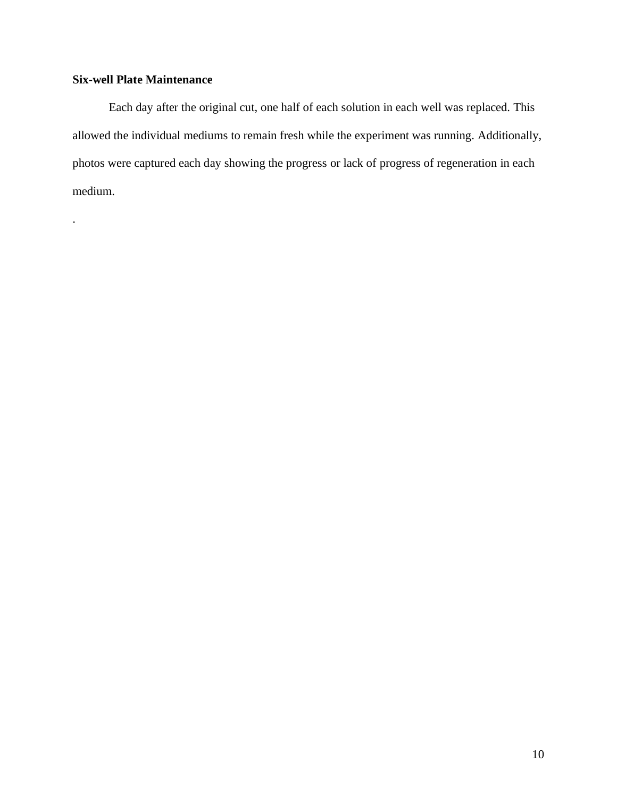## **Six-well Plate Maintenance**

.

Each day after the original cut, one half of each solution in each well was replaced. This allowed the individual mediums to remain fresh while the experiment was running. Additionally, photos were captured each day showing the progress or lack of progress of regeneration in each medium.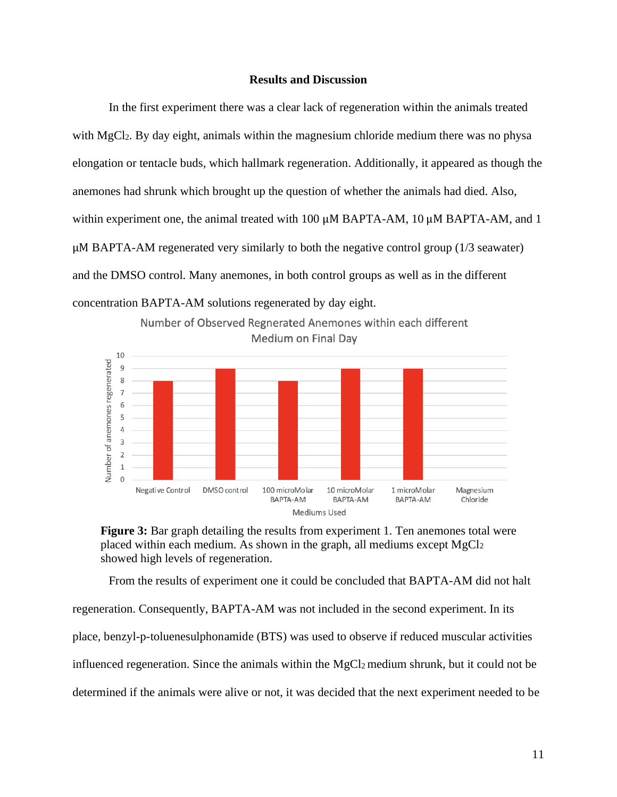#### **Results and Discussion**

In the first experiment there was a clear lack of regeneration within the animals treated with  $MgCl<sub>2</sub>$ . By day eight, animals within the magnesium chloride medium there was no physa elongation or tentacle buds, which hallmark regeneration. Additionally, it appeared as though the anemones had shrunk which brought up the question of whether the animals had died. Also, within experiment one, the animal treated with 100 μM BAPTA-AM, 10 μM BAPTA-AM, and 1 μM BAPTA-AM regenerated very similarly to both the negative control group (1/3 seawater) and the DMSO control. Many anemones, in both control groups as well as in the different concentration BAPTA-AM solutions regenerated by day eight.



Number of anemones regenerated

 $\overline{2}$  $1\,$  $\mathbf{0}$ 

Negative Control

DMSO control





**Mediums Used** 

10 microMolar

BAPTA-AM

1 microMolar

BAPTA-AM

Magnesium

Chloride

100 microMolar

BAPTA-AM

From the results of experiment one it could be concluded that BAPTA-AM did not halt regeneration. Consequently, BAPTA-AM was not included in the second experiment. In its place, benzyl-p-toluenesulphonamide (BTS) was used to observe if reduced muscular activities influenced regeneration. Since the animals within the MgCl<sub>2</sub> medium shrunk, but it could not be determined if the animals were alive or not, it was decided that the next experiment needed to be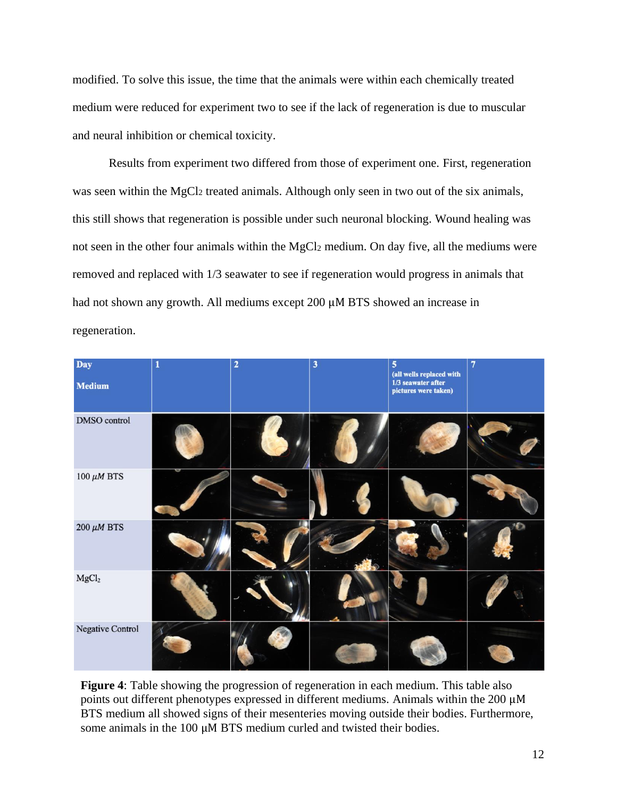modified. To solve this issue, the time that the animals were within each chemically treated medium were reduced for experiment two to see if the lack of regeneration is due to muscular and neural inhibition or chemical toxicity.

Results from experiment two differed from those of experiment one. First, regeneration was seen within the MgCl<sub>2</sub> treated animals. Although only seen in two out of the six animals, this still shows that regeneration is possible under such neuronal blocking. Wound healing was not seen in the other four animals within the MgCl<sub>2</sub> medium. On day five, all the mediums were removed and replaced with 1/3 seawater to see if regeneration would progress in animals that had not shown any growth. All mediums except 200 μM BTS showed an increase in regeneration.



**Figure 4**: Table showing the progression of regeneration in each medium. This table also points out different phenotypes expressed in different mediums. Animals within the 200 μM BTS medium all showed signs of their mesenteries moving outside their bodies. Furthermore, some animals in the 100 μM BTS medium curled and twisted their bodies.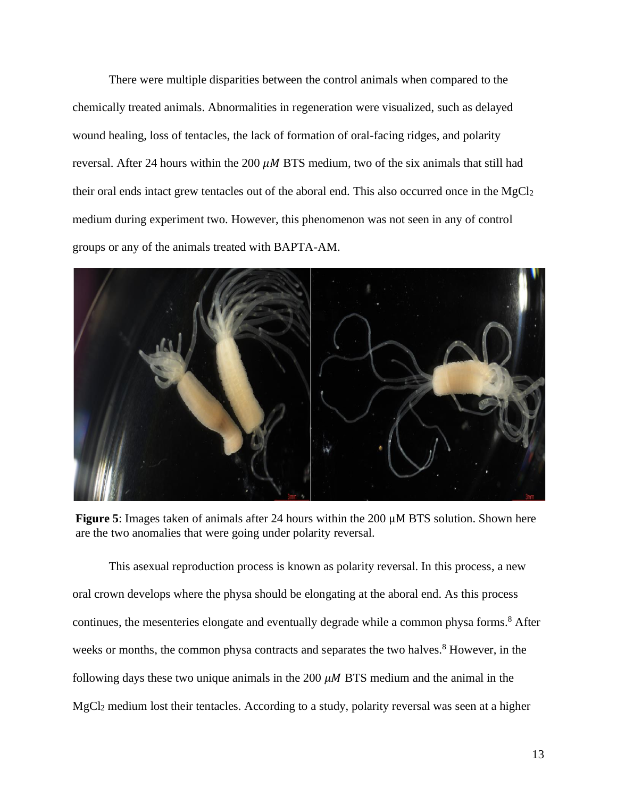There were multiple disparities between the control animals when compared to the chemically treated animals. Abnormalities in regeneration were visualized, such as delayed wound healing, loss of tentacles, the lack of formation of oral-facing ridges, and polarity reversal. After 24 hours within the 200  $\mu$ M BTS medium, two of the six animals that still had their oral ends intact grew tentacles out of the aboral end. This also occurred once in the MgCl<sup>2</sup> medium during experiment two. However, this phenomenon was not seen in any of control groups or any of the animals treated with BAPTA-AM.



**Figure 5**: Images taken of animals after 24 hours within the 200 μM BTS solution. Shown here are the two anomalies that were going under polarity reversal.

This asexual reproduction process is known as polarity reversal. In this process, a new oral crown develops where the physa should be elongating at the aboral end. As this process continues, the mesenteries elongate and eventually degrade while a common physa forms.<sup>8</sup> After weeks or months, the common physa contracts and separates the two halves.<sup>8</sup> However, in the following days these two unique animals in the 200  $\mu$ M BTS medium and the animal in the MgCl<sup>2</sup> medium lost their tentacles. According to a study, polarity reversal was seen at a higher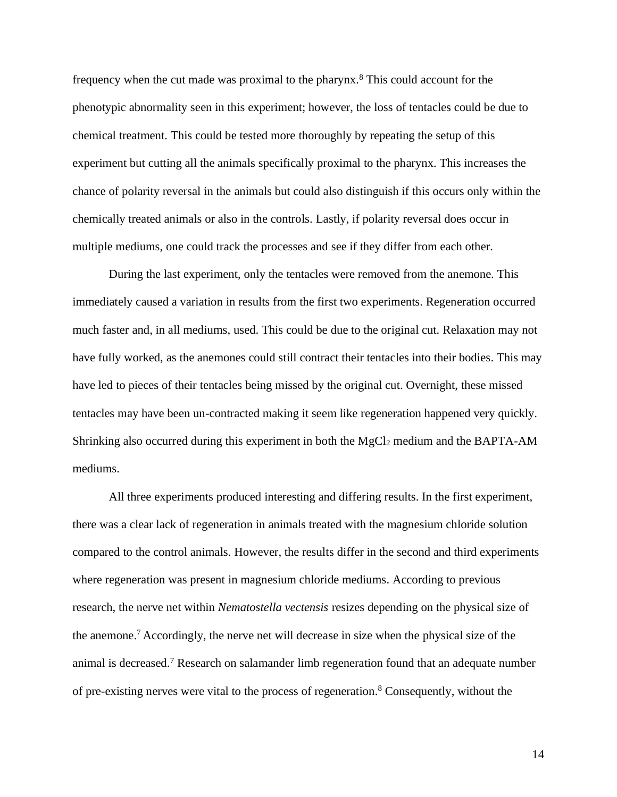frequency when the cut made was proximal to the pharynx.<sup>8</sup> This could account for the phenotypic abnormality seen in this experiment; however, the loss of tentacles could be due to chemical treatment. This could be tested more thoroughly by repeating the setup of this experiment but cutting all the animals specifically proximal to the pharynx. This increases the chance of polarity reversal in the animals but could also distinguish if this occurs only within the chemically treated animals or also in the controls. Lastly, if polarity reversal does occur in multiple mediums, one could track the processes and see if they differ from each other.

During the last experiment, only the tentacles were removed from the anemone. This immediately caused a variation in results from the first two experiments. Regeneration occurred much faster and, in all mediums, used. This could be due to the original cut. Relaxation may not have fully worked, as the anemones could still contract their tentacles into their bodies. This may have led to pieces of their tentacles being missed by the original cut. Overnight, these missed tentacles may have been un-contracted making it seem like regeneration happened very quickly. Shrinking also occurred during this experiment in both the MgCl<sup>2</sup> medium and the BAPTA-AM mediums.

All three experiments produced interesting and differing results. In the first experiment, there was a clear lack of regeneration in animals treated with the magnesium chloride solution compared to the control animals. However, the results differ in the second and third experiments where regeneration was present in magnesium chloride mediums. According to previous research, the nerve net within *Nematostella vectensis* resizes depending on the physical size of the anemone. <sup>7</sup>Accordingly, the nerve net will decrease in size when the physical size of the animal is decreased.<sup>7</sup> Research on salamander limb regeneration found that an adequate number of pre-existing nerves were vital to the process of regeneration. <sup>8</sup> Consequently, without the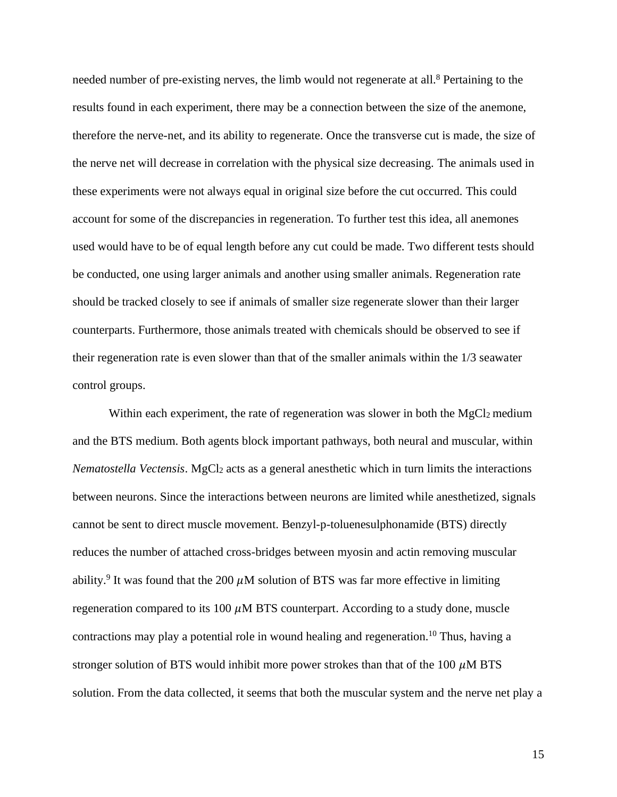needed number of pre-existing nerves, the limb would not regenerate at all.<sup>8</sup> Pertaining to the results found in each experiment, there may be a connection between the size of the anemone, therefore the nerve-net, and its ability to regenerate. Once the transverse cut is made, the size of the nerve net will decrease in correlation with the physical size decreasing. The animals used in these experiments were not always equal in original size before the cut occurred. This could account for some of the discrepancies in regeneration. To further test this idea, all anemones used would have to be of equal length before any cut could be made. Two different tests should be conducted, one using larger animals and another using smaller animals. Regeneration rate should be tracked closely to see if animals of smaller size regenerate slower than their larger counterparts. Furthermore, those animals treated with chemicals should be observed to see if their regeneration rate is even slower than that of the smaller animals within the 1/3 seawater control groups.

Within each experiment, the rate of regeneration was slower in both the MgCl<sub>2</sub> medium and the BTS medium. Both agents block important pathways, both neural and muscular, within *Nematostella Vectensis*. MgCl<sub>2</sub> acts as a general anesthetic which in turn limits the interactions between neurons. Since the interactions between neurons are limited while anesthetized, signals cannot be sent to direct muscle movement. Benzyl-p-toluenesulphonamide (BTS) directly reduces the number of attached cross-bridges between myosin and actin removing muscular ability.<sup>9</sup> It was found that the 200  $\mu$ M solution of BTS was far more effective in limiting regeneration compared to its 100  $\mu$ M BTS counterpart. According to a study done, muscle contractions may play a potential role in wound healing and regeneration.<sup>10</sup> Thus, having a stronger solution of BTS would inhibit more power strokes than that of the 100  $\mu$ M BTS solution. From the data collected, it seems that both the muscular system and the nerve net play a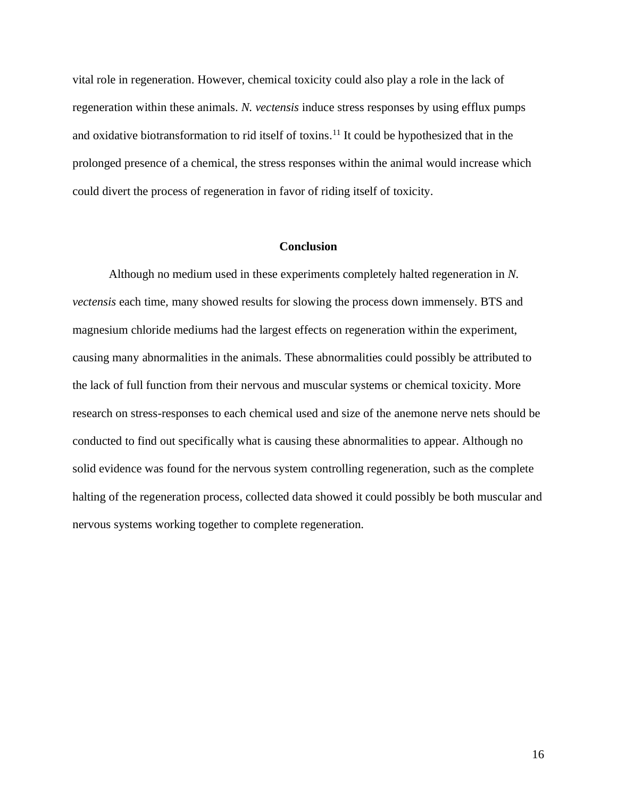vital role in regeneration. However, chemical toxicity could also play a role in the lack of regeneration within these animals. *N. vectensis* induce stress responses by using efflux pumps and oxidative biotransformation to rid itself of toxins.<sup>11</sup> It could be hypothesized that in the prolonged presence of a chemical, the stress responses within the animal would increase which could divert the process of regeneration in favor of riding itself of toxicity.

#### **Conclusion**

Although no medium used in these experiments completely halted regeneration in *N. vectensis* each time*,* many showed results for slowing the process down immensely. BTS and magnesium chloride mediums had the largest effects on regeneration within the experiment, causing many abnormalities in the animals. These abnormalities could possibly be attributed to the lack of full function from their nervous and muscular systems or chemical toxicity. More research on stress-responses to each chemical used and size of the anemone nerve nets should be conducted to find out specifically what is causing these abnormalities to appear. Although no solid evidence was found for the nervous system controlling regeneration, such as the complete halting of the regeneration process, collected data showed it could possibly be both muscular and nervous systems working together to complete regeneration.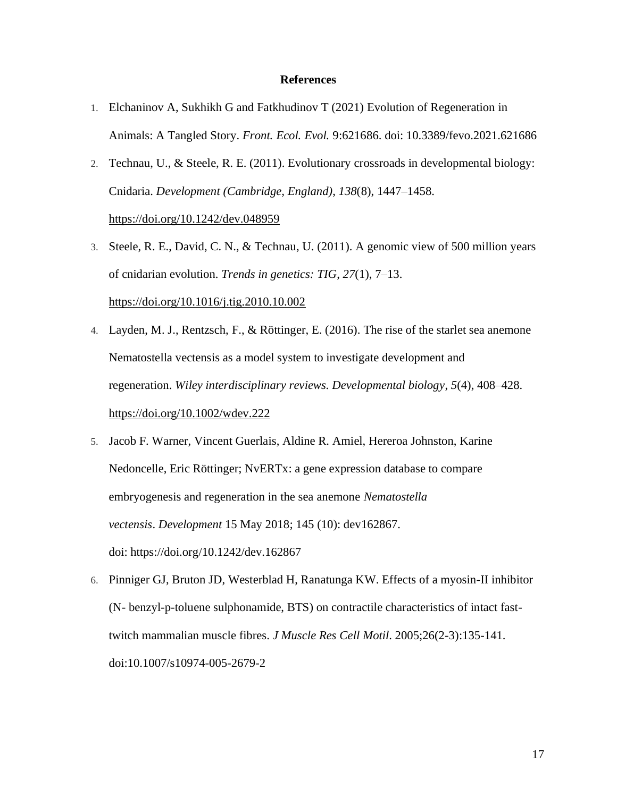#### **References**

- 1. Elchaninov A, Sukhikh G and Fatkhudinov T (2021) Evolution of Regeneration in Animals: A Tangled Story. *Front. Ecol. Evol.* 9:621686. doi: 10.3389/fevo.2021.621686
- 2. Technau, U., & Steele, R. E. (2011). Evolutionary crossroads in developmental biology: Cnidaria. *Development (Cambridge, England)*, *138*(8), 1447–1458. <https://doi.org/10.1242/dev.048959>
- 3. Steele, R. E., David, C. N., & Technau, U. (2011). A genomic view of 500 million years of cnidarian evolution. *Trends in genetics: TIG*, *27*(1), 7–13. <https://doi.org/10.1016/j.tig.2010.10.002>
- 4. Layden, M. J., Rentzsch, F., & Röttinger, E. (2016). The rise of the starlet sea anemone Nematostella vectensis as a model system to investigate development and regeneration. *Wiley interdisciplinary reviews. Developmental biology*, *5*(4), 408–428. <https://doi.org/10.1002/wdev.222>
- 5. Jacob F. Warner, Vincent Guerlais, Aldine R. Amiel, Hereroa Johnston, Karine Nedoncelle, Eric Röttinger; NvERTx: a gene expression database to compare embryogenesis and regeneration in the sea anemone *Nematostella vectensis*. *Development* 15 May 2018; 145 (10): dev162867. doi: <https://doi.org/10.1242/dev.162867>
- 6. Pinniger GJ, Bruton JD, Westerblad H, Ranatunga KW. Effects of a myosin-II inhibitor (N- benzyl-p-toluene sulphonamide, BTS) on contractile characteristics of intact fasttwitch mammalian muscle fibres. *J Muscle Res Cell Motil*. 2005;26(2-3):135-141. doi:10.1007/s10974-005-2679-2